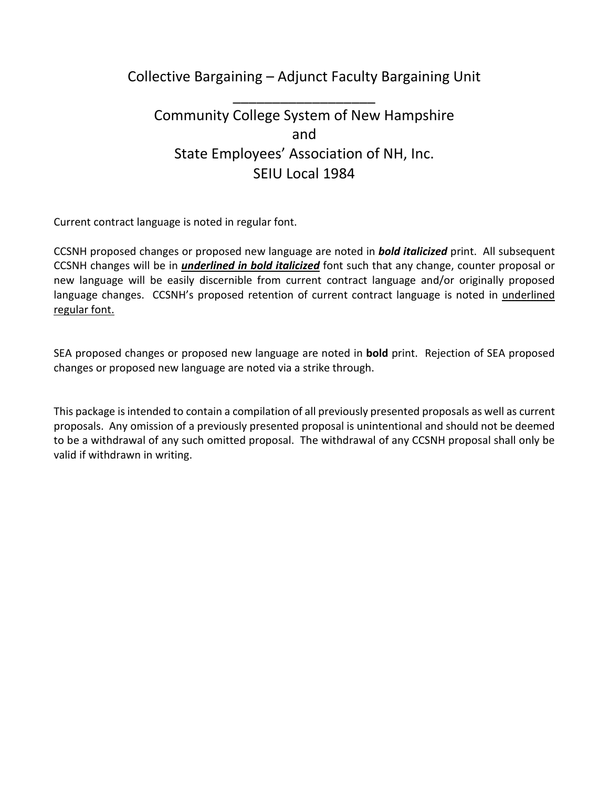Collective Bargaining – Adjunct Faculty Bargaining Unit

\_\_\_\_\_\_\_\_\_\_\_\_\_\_\_\_\_\_

# Community College System of New Hampshire and State Employees' Association of NH, Inc. SEIU Local 1984

Current contract language is noted in regular font.

 CCSNH proposed changes or proposed new language are noted in *bold italicized* print. All subsequent CCSNH changes will be in *underlined in bold italicized* font such that any change, counter proposal or new language will be easily discernible from current contract language and/or originally proposed language changes. CCSNH's proposed retention of current contract language is noted in underlined regular font.

SEA proposed changes or proposed new language are noted in **bold** print. Rejection of SEA proposed changes or proposed new language are noted via a strike through.

This package is intended to contain a compilation of all previously presented proposals as well as current proposals. Any omission of a previously presented proposal is unintentional and should not be deemed to be a withdrawal of any such omitted proposal. The withdrawal of any CCSNH proposal shall only be valid if withdrawn in writing.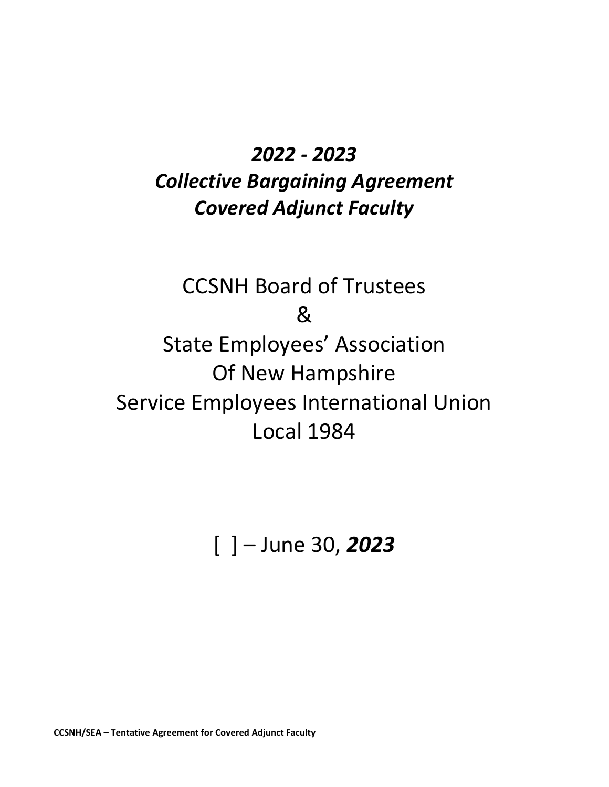# *2022 - 2023*

# *Collective Bargaining Agreement Covered Adjunct Faculty*

# CCSNH Board of Trustees & State Employees' Association Of New Hampshire Service Employees International Union Local 1984

# [ ] – June 30, *2023*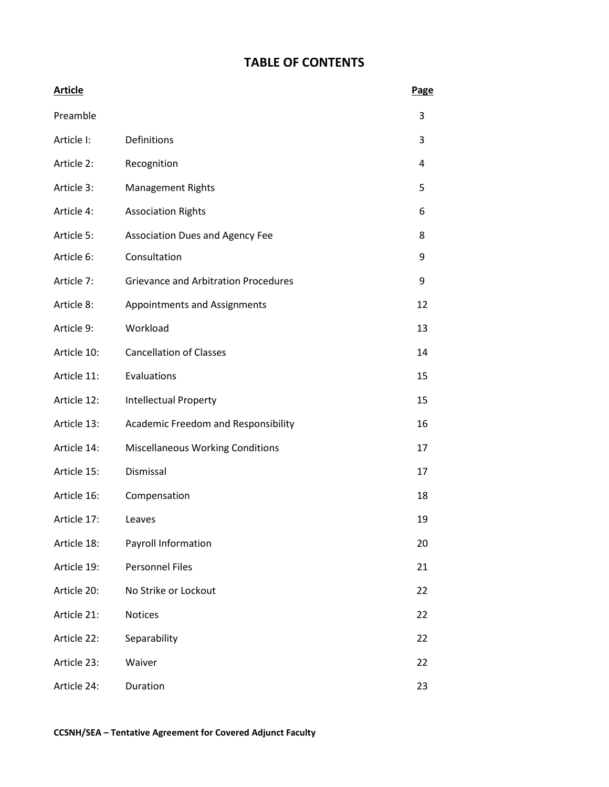# **TABLE OF CONTENTS**

| <b>Article</b> |                                             | Page |
|----------------|---------------------------------------------|------|
| Preamble       |                                             | 3    |
| Article I:     | Definitions                                 | 3    |
| Article 2:     | Recognition                                 | 4    |
| Article 3:     | <b>Management Rights</b>                    | 5    |
| Article 4:     | <b>Association Rights</b>                   | 6    |
| Article 5:     | <b>Association Dues and Agency Fee</b>      | 8    |
| Article 6:     | Consultation                                | 9    |
| Article 7:     | <b>Grievance and Arbitration Procedures</b> | 9    |
| Article 8:     | Appointments and Assignments                | 12   |
| Article 9:     | Workload                                    | 13   |
| Article 10:    | <b>Cancellation of Classes</b>              | 14   |
| Article 11:    | Evaluations                                 | 15   |
| Article 12:    | <b>Intellectual Property</b>                | 15   |
| Article 13:    | Academic Freedom and Responsibility         | 16   |
| Article 14:    | <b>Miscellaneous Working Conditions</b>     | 17   |
| Article 15:    | Dismissal                                   | 17   |
| Article 16:    | Compensation                                | 18   |
| Article 17:    | Leaves                                      | 19   |
| Article 18:    | Payroll Information                         | 20   |
| Article 19:    | <b>Personnel Files</b>                      | 21   |
| Article 20:    | No Strike or Lockout                        | 22   |
| Article 21:    | Notices                                     | 22   |
| Article 22:    | Separability                                | 22   |
| Article 23:    | Waiver                                      | 22   |
| Article 24:    | Duration                                    | 23   |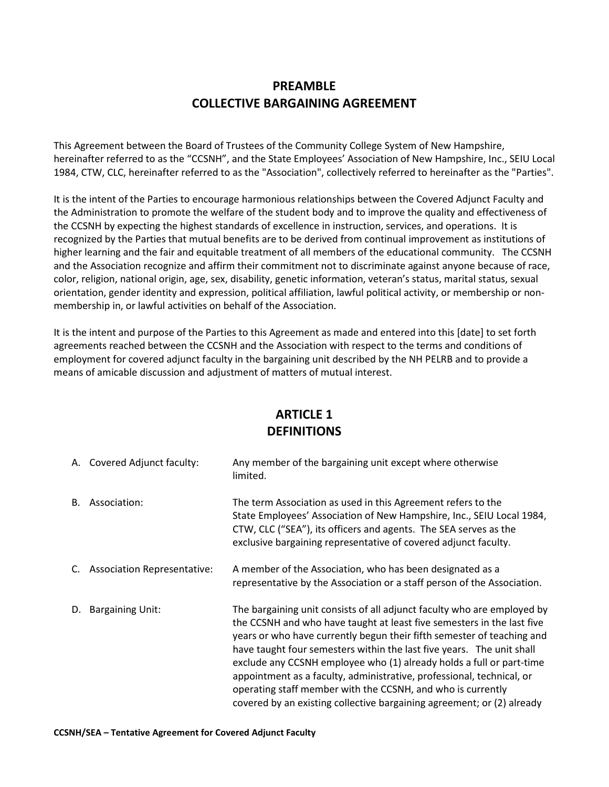#### **PREAMBLE COLLECTIVE BARGAINING AGREEMENT**

This Agreement between the Board of Trustees of the Community College System of New Hampshire, hereinafter referred to as the "CCSNH", and the State Employees' Association of New Hampshire, Inc., SEIU Local 1984, CTW, CLC, hereinafter referred to as the "Association", collectively referred to hereinafter as the "Parties".

It is the intent of the Parties to encourage harmonious relationships between the Covered Adjunct Faculty and the Administration to promote the welfare of the student body and to improve the quality and effectiveness of the CCSNH by expecting the highest standards of excellence in instruction, services, and operations. It is recognized by the Parties that mutual benefits are to be derived from continual improvement as institutions of higher learning and the fair and equitable treatment of all members of the educational community. The CCSNH and the Association recognize and affirm their commitment not to discriminate against anyone because of race, color, religion, national origin, age, sex, disability, genetic information, veteran's status, marital status, sexual orientation, gender identity and expression, political affiliation, lawful political activity, or membership or nonmembership in, or lawful activities on behalf of the Association.

It is the intent and purpose of the Parties to this Agreement as made and entered into this [date] to set forth agreements reached between the CCSNH and the Association with respect to the terms and conditions of employment for covered adjunct faculty in the bargaining unit described by the NH PELRB and to provide a means of amicable discussion and adjustment of matters of mutual interest.

# **ARTICLE 1 DEFINITIONS**

|    | A. Covered Adjunct faculty:        | Any member of the bargaining unit except where otherwise<br>limited.                                                                                                                                                                                                                                                                                                                                                                                                                                                                                                                           |
|----|------------------------------------|------------------------------------------------------------------------------------------------------------------------------------------------------------------------------------------------------------------------------------------------------------------------------------------------------------------------------------------------------------------------------------------------------------------------------------------------------------------------------------------------------------------------------------------------------------------------------------------------|
| B. | Association:                       | The term Association as used in this Agreement refers to the<br>State Employees' Association of New Hampshire, Inc., SEIU Local 1984,<br>CTW, CLC ("SEA"), its officers and agents. The SEA serves as the<br>exclusive bargaining representative of covered adjunct faculty.                                                                                                                                                                                                                                                                                                                   |
| C. | <b>Association Representative:</b> | A member of the Association, who has been designated as a<br>representative by the Association or a staff person of the Association.                                                                                                                                                                                                                                                                                                                                                                                                                                                           |
|    | D. Bargaining Unit:                | The bargaining unit consists of all adjunct faculty who are employed by<br>the CCSNH and who have taught at least five semesters in the last five<br>years or who have currently begun their fifth semester of teaching and<br>have taught four semesters within the last five years. The unit shall<br>exclude any CCSNH employee who (1) already holds a full or part-time<br>appointment as a faculty, administrative, professional, technical, or<br>operating staff member with the CCSNH, and who is currently<br>covered by an existing collective bargaining agreement; or (2) already |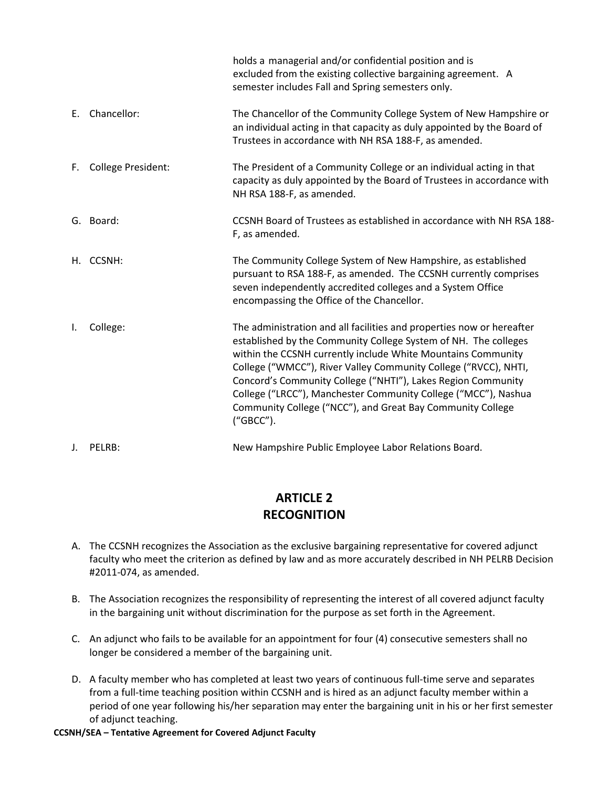|     |                    | holds a managerial and/or confidential position and is<br>excluded from the existing collective bargaining agreement. A<br>semester includes Fall and Spring semesters only.                                                                                                                                                                                                                                                                                                             |
|-----|--------------------|------------------------------------------------------------------------------------------------------------------------------------------------------------------------------------------------------------------------------------------------------------------------------------------------------------------------------------------------------------------------------------------------------------------------------------------------------------------------------------------|
| E., | Chancellor:        | The Chancellor of the Community College System of New Hampshire or<br>an individual acting in that capacity as duly appointed by the Board of<br>Trustees in accordance with NH RSA 188-F, as amended.                                                                                                                                                                                                                                                                                   |
| F.  | College President: | The President of a Community College or an individual acting in that<br>capacity as duly appointed by the Board of Trustees in accordance with<br>NH RSA 188-F, as amended.                                                                                                                                                                                                                                                                                                              |
|     | G. Board:          | CCSNH Board of Trustees as established in accordance with NH RSA 188-<br>F, as amended.                                                                                                                                                                                                                                                                                                                                                                                                  |
|     | H. CCSNH:          | The Community College System of New Hampshire, as established<br>pursuant to RSA 188-F, as amended. The CCSNH currently comprises<br>seven independently accredited colleges and a System Office<br>encompassing the Office of the Chancellor.                                                                                                                                                                                                                                           |
| Ι.  | College:           | The administration and all facilities and properties now or hereafter<br>established by the Community College System of NH. The colleges<br>within the CCSNH currently include White Mountains Community<br>College ("WMCC"), River Valley Community College ("RVCC), NHTI,<br>Concord's Community College ("NHTI"), Lakes Region Community<br>College ("LRCC"), Manchester Community College ("MCC"), Nashua<br>Community College ("NCC"), and Great Bay Community College<br>("GBCC"). |
| J.  | PELRB:             | New Hampshire Public Employee Labor Relations Board.                                                                                                                                                                                                                                                                                                                                                                                                                                     |

#### **ARTICLE 2 RECOGNITION**

- A. The CCSNH recognizes the Association as the exclusive bargaining representative for covered adjunct faculty who meet the criterion as defined by law and as more accurately described in NH PELRB Decision #2011-074, as amended.
- B. The Association recognizes the responsibility of representing the interest of all covered adjunct faculty in the bargaining unit without discrimination for the purpose as set forth in the Agreement.
- C. An adjunct who fails to be available for an appointment for four (4) consecutive semesters shall no longer be considered a member of the bargaining unit.
- D. A faculty member who has completed at least two years of continuous full-time serve and separates from a full-time teaching position within CCSNH and is hired as an adjunct faculty member within a period of one year following his/her separation may enter the bargaining unit in his or her first semester of adjunct teaching.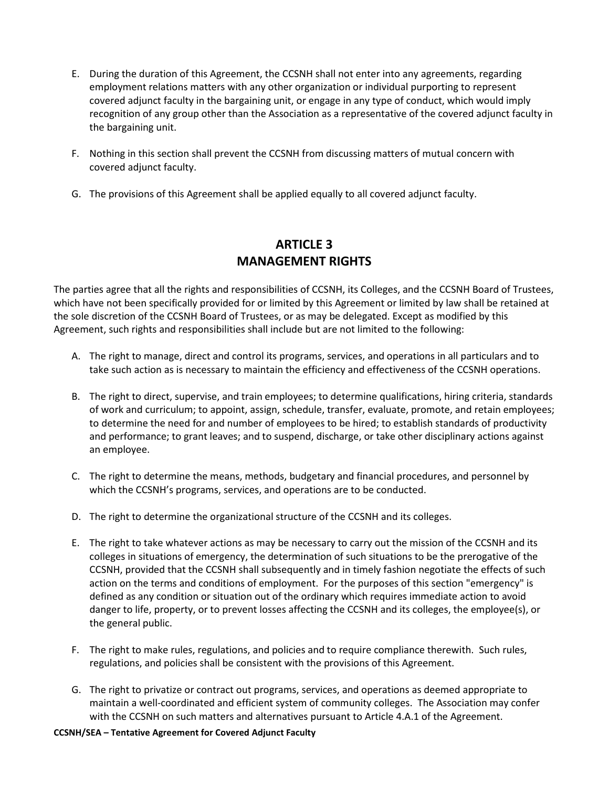- E. During the duration of this Agreement, the CCSNH shall not enter into any agreements, regarding employment relations matters with any other organization or individual purporting to represent covered adjunct faculty in the bargaining unit, or engage in any type of conduct, which would imply recognition of any group other than the Association as a representative of the covered adjunct faculty in the bargaining unit.
- F. Nothing in this section shall prevent the CCSNH from discussing matters of mutual concern with covered adjunct faculty.
- G. The provisions of this Agreement shall be applied equally to all covered adjunct faculty.

#### **ARTICLE 3 MANAGEMENT RIGHTS**

The parties agree that all the rights and responsibilities of CCSNH, its Colleges, and the CCSNH Board of Trustees, which have not been specifically provided for or limited by this Agreement or limited by law shall be retained at the sole discretion of the CCSNH Board of Trustees, or as may be delegated. Except as modified by this Agreement, such rights and responsibilities shall include but are not limited to the following:

- A. The right to manage, direct and control its programs, services, and operations in all particulars and to take such action as is necessary to maintain the efficiency and effectiveness of the CCSNH operations.
- B. The right to direct, supervise, and train employees; to determine qualifications, hiring criteria, standards of work and curriculum; to appoint, assign, schedule, transfer, evaluate, promote, and retain employees; to determine the need for and number of employees to be hired; to establish standards of productivity and performance; to grant leaves; and to suspend, discharge, or take other disciplinary actions against an employee.
- C. The right to determine the means, methods, budgetary and financial procedures, and personnel by which the CCSNH's programs, services, and operations are to be conducted.
- D. The right to determine the organizational structure of the CCSNH and its colleges.
- E. The right to take whatever actions as may be necessary to carry out the mission of the CCSNH and its colleges in situations of emergency, the determination of such situations to be the prerogative of the CCSNH, provided that the CCSNH shall subsequently and in timely fashion negotiate the effects of such action on the terms and conditions of employment. For the purposes of this section "emergency" is defined as any condition or situation out of the ordinary which requires immediate action to avoid danger to life, property, or to prevent losses affecting the CCSNH and its colleges, the employee(s), or the general public.
- F. The right to make rules, regulations, and policies and to require compliance therewith. Such rules, regulations, and policies shall be consistent with the provisions of this Agreement.
- G. The right to privatize or contract out programs, services, and operations as deemed appropriate to maintain a well-coordinated and efficient system of community colleges. The Association may confer with the CCSNH on such matters and alternatives pursuant to Article 4.A.1 of the Agreement.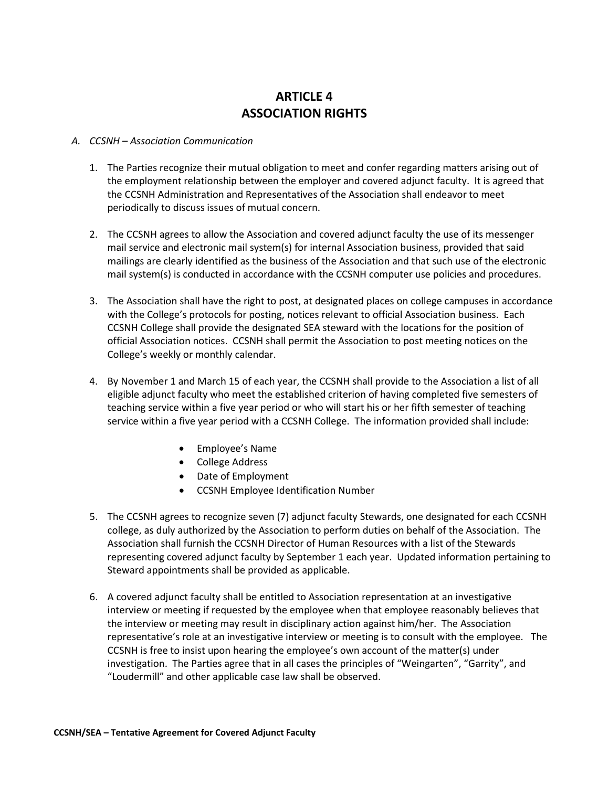# **ARTICLE 4 ASSOCIATION RIGHTS**

#### *A. CCSNH – Association Communication*

- 1. The Parties recognize their mutual obligation to meet and confer regarding matters arising out of the employment relationship between the employer and covered adjunct faculty. It is agreed that the CCSNH Administration and Representatives of the Association shall endeavor to meet periodically to discuss issues of mutual concern.
- 2. The CCSNH agrees to allow the Association and covered adjunct faculty the use of its messenger mail service and electronic mail system(s) for internal Association business, provided that said mailings are clearly identified as the business of the Association and that such use of the electronic mail system(s) is conducted in accordance with the CCSNH computer use policies and procedures.
- 3. The Association shall have the right to post, at designated places on college campuses in accordance with the College's protocols for posting, notices relevant to official Association business. Each CCSNH College shall provide the designated SEA steward with the locations for the position of official Association notices. CCSNH shall permit the Association to post meeting notices on the College's weekly or monthly calendar.
- 4. By November 1 and March 15 of each year, the CCSNH shall provide to the Association a list of all eligible adjunct faculty who meet the established criterion of having completed five semesters of teaching service within a five year period or who will start his or her fifth semester of teaching service within a five year period with a CCSNH College. The information provided shall include:
	- Employee's Name
	- College Address
	- Date of Employment
	- CCSNH Employee Identification Number
- 5. The CCSNH agrees to recognize seven (7) adjunct faculty Stewards, one designated for each CCSNH college, as duly authorized by the Association to perform duties on behalf of the Association. The Association shall furnish the CCSNH Director of Human Resources with a list of the Stewards representing covered adjunct faculty by September 1 each year. Updated information pertaining to Steward appointments shall be provided as applicable.
- 6. A covered adjunct faculty shall be entitled to Association representation at an investigative interview or meeting if requested by the employee when that employee reasonably believes that the interview or meeting may result in disciplinary action against him/her. The Association representative's role at an investigative interview or meeting is to consult with the employee. The CCSNH is free to insist upon hearing the employee's own account of the matter(s) under investigation. The Parties agree that in all cases the principles of "Weingarten", "Garrity", and "Loudermill" and other applicable case law shall be observed.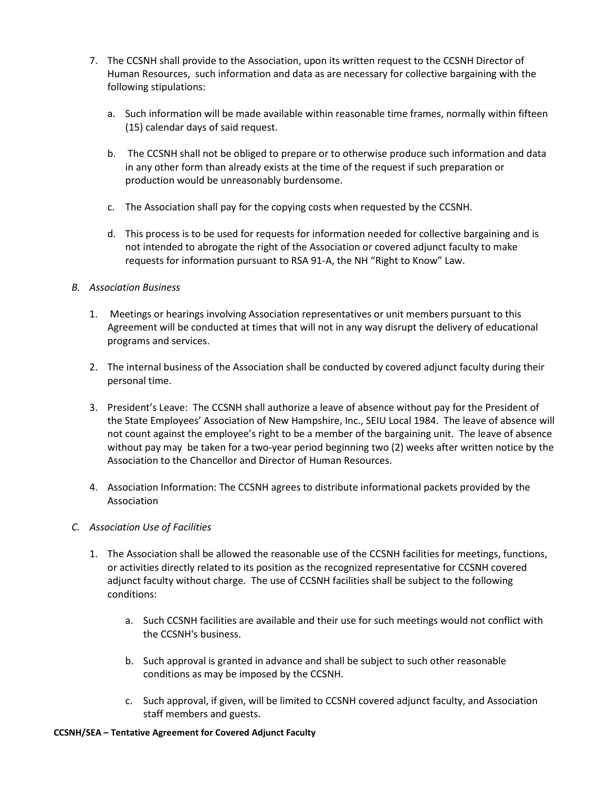- 7. The CCSNH shall provide to the Association, upon its written request to the CCSNH Director of Human Resources, such information and data as are necessary for collective bargaining with the following stipulations:
	- a. Such information will be made available within reasonable time frames, normally within fifteen (15) calendar days of said request.
	- b. The CCSNH shall not be obliged to prepare or to otherwise produce such information and data in any other form than already exists at the time of the request if such preparation or production would be unreasonably burdensome.
	- c. The Association shall pay for the copying costs when requested by the CCSNH.
	- d. This process is to be used for requests for information needed for collective bargaining and is not intended to abrogate the right of the Association or covered adjunct faculty to make requests for information pursuant to RSA 91-A, the NH "Right to Know" Law.

#### *B. Association Business*

- 1. Meetings or hearings involving Association representatives or unit members pursuant to this Agreement will be conducted at times that will not in any way disrupt the delivery of educational programs and services.
- 2. The internal business of the Association shall be conducted by covered adjunct faculty during their personal time.
- 3. President's Leave: The CCSNH shall authorize a leave of absence without pay for the President of the State Employees' Association of New Hampshire, Inc., SEIU Local 1984. The leave of absence will not count against the employee's right to be a member of the bargaining unit. The leave of absence without pay may be taken for a two-year period beginning two (2) weeks after written notice by the Association to the Chancellor and Director of Human Resources.
- 4. Association Information: The CCSNH agrees to distribute informational packets provided by the Association

#### *C. Association Use of Facilities*

- 1. The Association shall be allowed the reasonable use of the CCSNH facilities for meetings, functions, or activities directly related to its position as the recognized representative for CCSNH covered adjunct faculty without charge. The use of CCSNH facilities shall be subject to the following conditions:
	- a. Such CCSNH facilities are available and their use for such meetings would not conflict with the CCSNH's business.
	- b. Such approval is granted in advance and shall be subject to such other reasonable conditions as may be imposed by the CCSNH.
	- c. Such approval, if given, will be limited to CCSNH covered adjunct faculty, and Association staff members and guests.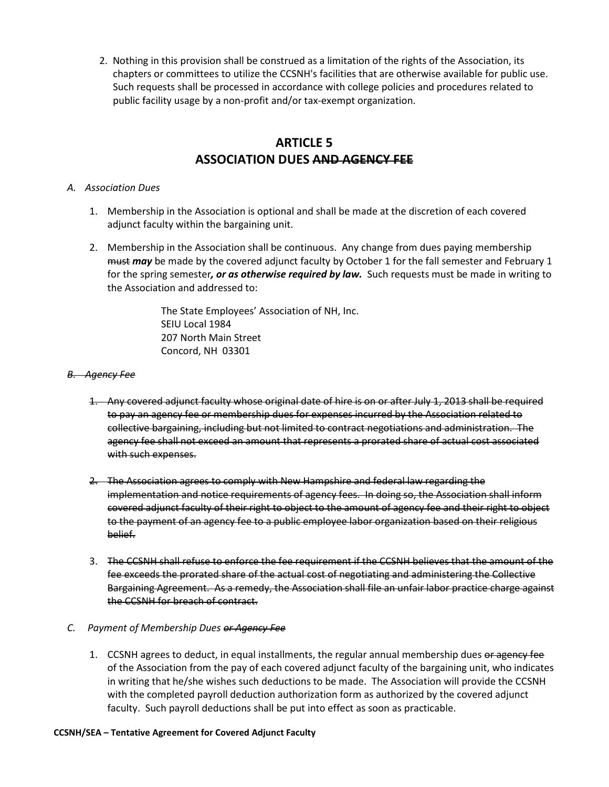2. Nothing in this provision shall be construed as a limitation of the rights of the Association, its chapters or committees to utilize the CCSNH's facilities that are otherwise available for public use. Such requests shall be processed in accordance with college policies and procedures related to public facility usage by a non-profit and/or tax-exempt organization.

#### **ARTICLE 5 ASSOCIATION DUES AND AGENCY FEE**

#### *A. Association Dues*

- 1. Membership in the Association is optional and shall be made at the discretion of each covered adjunct faculty within the bargaining unit.
- 2. Membership in the Association shall be continuous. Any change from dues paying membership must *may* be made by the covered adjunct faculty by October 1 for the fall semester and February 1 for the spring semester*, or as otherwise required by law.* Such requests must be made in writing to the Association and addressed to:

 The State Employees' Association of NH, Inc. SEIU Local 1984 207 North Main Street Concord, NH 03301

#### *B. Agency Fee*

- 1. Any covered adjunct faculty whose original date of hire is on or after July 1, 2013 shall be required to pay an agency fee or membership dues for expenses incurred by the Association related to collective bargaining, including but not limited to contract negotiations and administration. The agency fee shall not exceed an amount that represents a prorated share of actual cost associated with such expenses.
- 2. The Association agrees to comply with New Hampshire and federal law regarding the implementation and notice requirements of agency fees. In doing so, the Association shall inform covered adjunct faculty of their right to object to the amount of agency fee and their right to object to the payment of an agency fee to a public employee labor organization based on their religious belief.
- 3. The CCSNH shall refuse to enforce the fee requirement if the CCSNH believes that the amount of the fee exceeds the prorated share of the actual cost of negotiating and administering the Collective Bargaining Agreement. As a remedy, the Association shall file an unfair labor practice charge against the CCSNH for breach of contract.
- *C. Payment of Membership Dues or Agency Fee*
	- 1. CCSNH agrees to deduct, in equal installments, the regular annual membership dues or agency fee of the Association from the pay of each covered adjunct faculty of the bargaining unit, who indicates in writing that he/she wishes such deductions to be made. The Association will provide the CCSNH with the completed payroll deduction authorization form as authorized by the covered adjunct faculty. Such payroll deductions shall be put into effect as soon as practicable.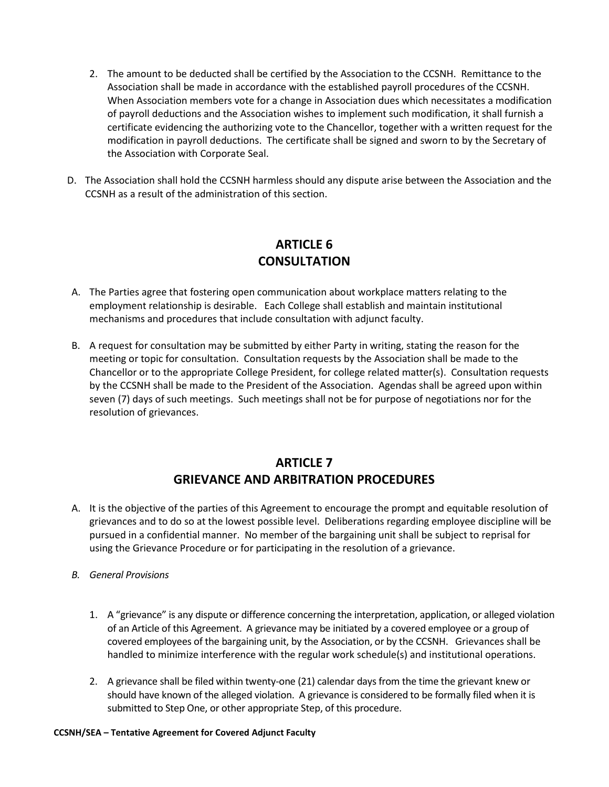- 2. The amount to be deducted shall be certified by the Association to the CCSNH. Remittance to the Association shall be made in accordance with the established payroll procedures of the CCSNH. When Association members vote for a change in Association dues which necessitates a modification of payroll deductions and the Association wishes to implement such modification, it shall furnish a certificate evidencing the authorizing vote to the Chancellor, together with a written request for the modification in payroll deductions. The certificate shall be signed and sworn to by the Secretary of the Association with Corporate Seal.
- D. The Association shall hold the CCSNH harmless should any dispute arise between the Association and the CCSNH as a result of the administration of this section.

#### **ARTICLE 6 CONSULTATION**

- A. The Parties agree that fostering open communication about workplace matters relating to the employment relationship is desirable. Each College shall establish and maintain institutional mechanisms and procedures that include consultation with adjunct faculty.
- B. A request for consultation may be submitted by either Party in writing, stating the reason for the meeting or topic for consultation. Consultation requests by the Association shall be made to the Chancellor or to the appropriate College President, for college related matter(s). Consultation requests by the CCSNH shall be made to the President of the Association. Agendas shall be agreed upon within seven (7) days of such meetings. Such meetings shall not be for purpose of negotiations nor for the resolution of grievances.

# **ARTICLE 7 GRIEVANCE AND ARBITRATION PROCEDURES**

- A. It is the objective of the parties of this Agreement to encourage the prompt and equitable resolution of grievances and to do so at the lowest possible level.Deliberations regarding employee discipline will be pursued in a confidential manner. No member of the bargaining unit shall be subject to reprisal for using the Grievance Procedure or for participating in the resolution of a grievance.
- *B. General Provisions*
	- 1. A "grievance" is any dispute or difference concerning the interpretation, application, or alleged violation of an Article of this Agreement. A grievance may be initiated by a covered employee or a group of covered employees of the bargaining unit, by the Association, or by the CCSNH. Grievances shall be handled to minimize interference with the regular work schedule(s) and institutional operations.
	- 2. A grievance shall be filed within twenty-one (21) calendar days from the time the grievant knew or should have known of the alleged violation. A grievance is considered to be formally filed when it is submitted to Step One, or other appropriate Step, of this procedure.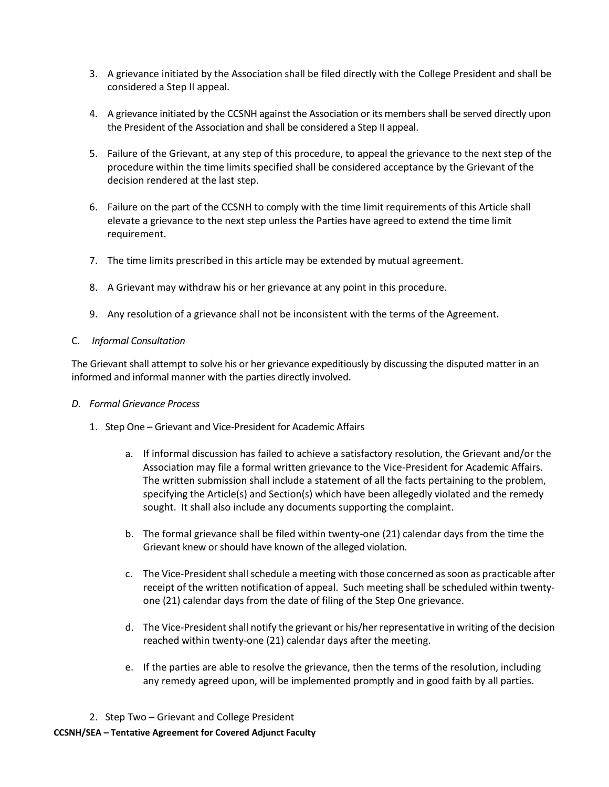- 3. A grievance initiated by the Association shall be filed directly with the College President and shall be considered a Step II appeal.
- 4. A grievance initiated by the CCSNH against the Association or its members shall be served directly upon the President of the Association and shall be considered a Step II appeal.
- 5. Failure of the Grievant, at any step of this procedure, to appeal the grievance to the next step of the procedure within the time limits specified shall be considered acceptance by the Grievant of the decision rendered at the last step.
- 6. Failure on the part of the CCSNH to comply with the time limit requirements of this Article shall elevate a grievance to the next step unless the Parties have agreed to extend the time limit requirement.
- 7. The time limits prescribed in this article may be extended by mutual agreement.
- 8. A Grievant may withdraw his or her grievance at any point in this procedure.
- 9. Any resolution of a grievance shall not be inconsistent with the terms of the Agreement.

#### C. *Informal Consultation*

The Grievant shall attempt to solve his or her grievance expeditiously by discussing the disputed matter in an informed and informal manner with the parties directly involved.

#### *D. Formal Grievance Process*

- 1. Step One Grievant and Vice-President for Academic Affairs
	- a. If informal discussion has failed to achieve a satisfactory resolution, the Grievant and/or the Association may file a formal written grievance to the Vice-President for Academic Affairs. The written submission shall include a statement of all the facts pertaining to the problem, specifying the Article(s) and Section(s) which have been allegedly violated and the remedy sought. It shall also include any documents supporting the complaint.
	- b. The formal grievance shall be filed within twenty-one (21) calendar days from the time the Grievant knew or should have known of the alleged violation.
	- c. The Vice-President shall schedule a meeting with those concerned as soon as practicable after receipt of the written notification of appeal. Such meeting shall be scheduled within twentyone (21) calendar days from the date of filing of the Step One grievance.
	- d. The Vice-President shall notify the grievant or his/her representative in writing of the decision reached within twenty-one (21) calendar days after the meeting.
	- e. If the parties are able to resolve the grievance, then the terms of the resolution, including any remedy agreed upon, will be implemented promptly and in good faith by all parties.
- 2. Step Two Grievant and College President

#### **CCSNH/SEA – Tentative Agreement for Covered Adjunct Faculty**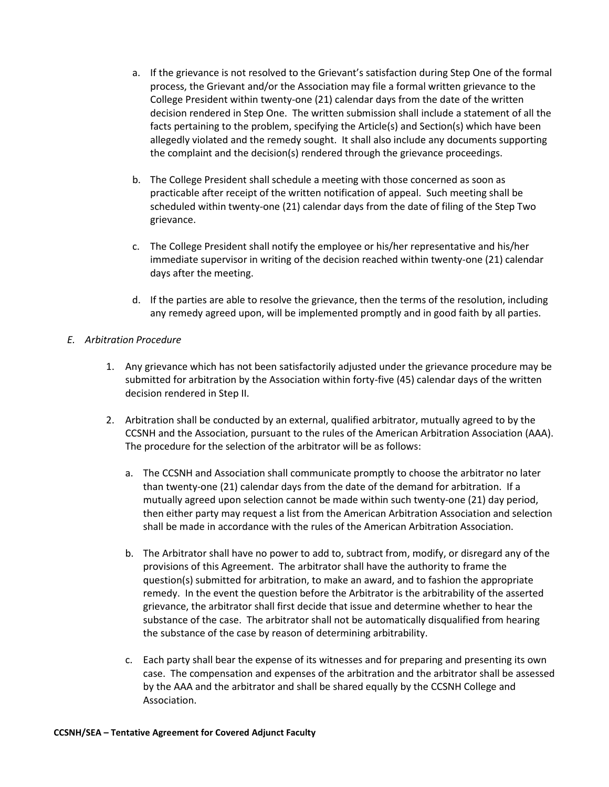- a. If the grievance is not resolved to the Grievant's satisfaction during Step One of the formal process, the Grievant and/or the Association may file a formal written grievance to the College President within twenty-one (21) calendar days from the date of the written decision rendered in Step One. The written submission shall include a statement of all the facts pertaining to the problem, specifying the Article(s) and Section(s) which have been allegedly violated and the remedy sought. It shall also include any documents supporting the complaint and the decision(s) rendered through the grievance proceedings.
- b. The College President shall schedule a meeting with those concerned as soon as practicable after receipt of the written notification of appeal. Such meeting shall be scheduled within twenty-one (21) calendar days from the date of filing of the Step Two grievance.
- c. The College President shall notify the employee or his/her representative and his/her immediate supervisor in writing of the decision reached within twenty-one (21) calendar days after the meeting.
- d. If the parties are able to resolve the grievance, then the terms of the resolution, including any remedy agreed upon, will be implemented promptly and in good faith by all parties.

#### *E. Arbitration Procedure*

- 1. Any grievance which has not been satisfactorily adjusted under the grievance procedure may be submitted for arbitration by the Association within forty-five (45) calendar days of the written decision rendered in Step II.
- 2. Arbitration shall be conducted by an external, qualified arbitrator, mutually agreed to by the CCSNH and the Association, pursuant to the rules of the American Arbitration Association (AAA). The procedure for the selection of the arbitrator will be as follows:
	- a. The CCSNH and Association shall communicate promptly to choose the arbitrator no later than twenty-one (21) calendar days from the date of the demand for arbitration. If a mutually agreed upon selection cannot be made within such twenty-one (21) day period, then either party may request a list from the American Arbitration Association and selection shall be made in accordance with the rules of the American Arbitration Association.
	- b. The Arbitrator shall have no power to add to, subtract from, modify, or disregard any of the provisions of this Agreement. The arbitrator shall have the authority to frame the question(s) submitted for arbitration, to make an award, and to fashion the appropriate remedy. In the event the question before the Arbitrator is the arbitrability of the asserted grievance, the arbitrator shall first decide that issue and determine whether to hear the substance of the case. The arbitrator shall not be automatically disqualified from hearing the substance of the case by reason of determining arbitrability.
	- c. Each party shall bear the expense of its witnesses and for preparing and presenting its own case. The compensation and expenses of the arbitration and the arbitrator shall be assessed by the AAA and the arbitrator and shall be shared equally by the CCSNH College and Association.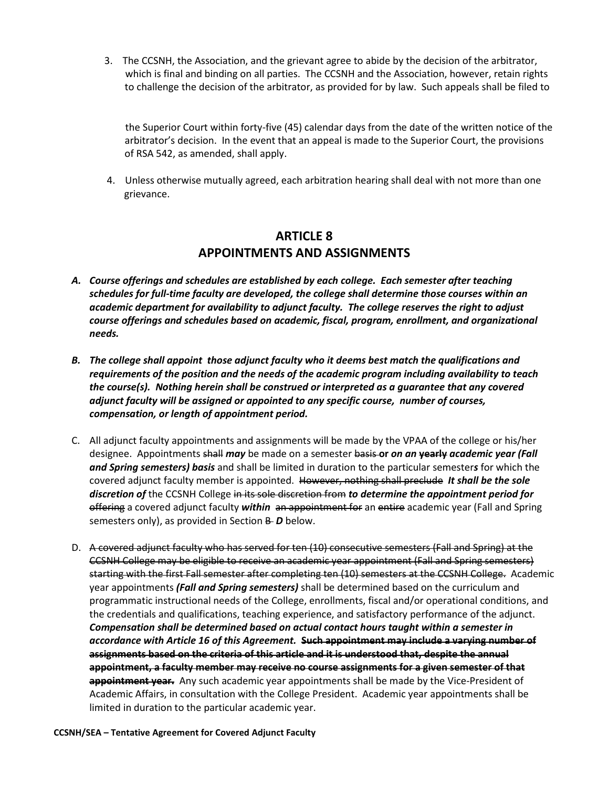3.The CCSNH, the Association, and the grievant agree to abide by the decision of the arbitrator, which is final and binding on all parties. The CCSNH and the Association, however, retain rights to challenge the decision of the arbitrator, as provided for by law. Such appeals shall be filed to

the Superior Court within forty-five (45) calendar days from the date of the written notice of the arbitrator's decision. In the event that an appeal is made to the Superior Court, the provisions of RSA 542, as amended, shall apply.

 4. Unless otherwise mutually agreed, each arbitration hearing shall deal with not more than one grievance.

#### **ARTICLE 8 APPOINTMENTS AND ASSIGNMENTS**

- *A. Course offerings and schedules are established by each college. Each semester after teaching schedules for full-time faculty are developed, the college shall determine those courses within an academic department for availability to adjunct faculty. The college reserves the right to adjust course offerings and schedules based on academic, fiscal, program, enrollment, and organizational needs.*
- *B. The college shall appoint those adjunct faculty who it deems best match the qualifications and requirements of the position and the needs of the academic program including availability to teach the course(s). Nothing herein shall be construed or interpreted as a guarantee that any covered adjunct faculty will be assigned or appointed to any specific course, number of courses, compensation, or length of appointment period.*
- C. All adjunct faculty appointments and assignments will be made by the VPAA of the college or his/her designee. Appointments shall *may* be made on a semester basis **or** *on an* **yearly** *academic year (Fall and Spring semesters) basis* and shall be limited in duration to the particular semester*s* for which the covered adjunct faculty member is appointed. However, nothing shall preclude *It shall be the sole discretion of* the CCSNH College in its sole discretion from *to determine the appointment period for*  offering a covered adjunct faculty *within* an appointment for an entire academic year (Fall and Spring semesters only), as provided in Section **B-D** below.
- D. A covered adjunct faculty who has served for ten (10) consecutive semesters (Fall and Spring) at the CCSNH College may be eligible to receive an academic year appointment (Fall and Spring semesters) starting with the first Fall semester after completing ten (10) semesters at the CCSNH College. Academic year appointments *(Fall and Spring semesters)* shall be determined based on the curriculum and programmatic instructional needs of the College, enrollments, fiscal and/or operational conditions, and the credentials and qualifications, teaching experience, and satisfactory performance of the adjunct. *Compensation shall be determined based on actual contact hours taught within a semester in accordance with Article 16 of this Agreement.* **Such appointment may include a varying number of assignments based on the criteria of this article and it is understood that, despite the annual appointment, a faculty member may receive no course assignments for a given semester of that appointment year.**Any such academic year appointments shall be made by the Vice-President of Academic Affairs, in consultation with the College President. Academic year appointments shall be limited in duration to the particular academic year.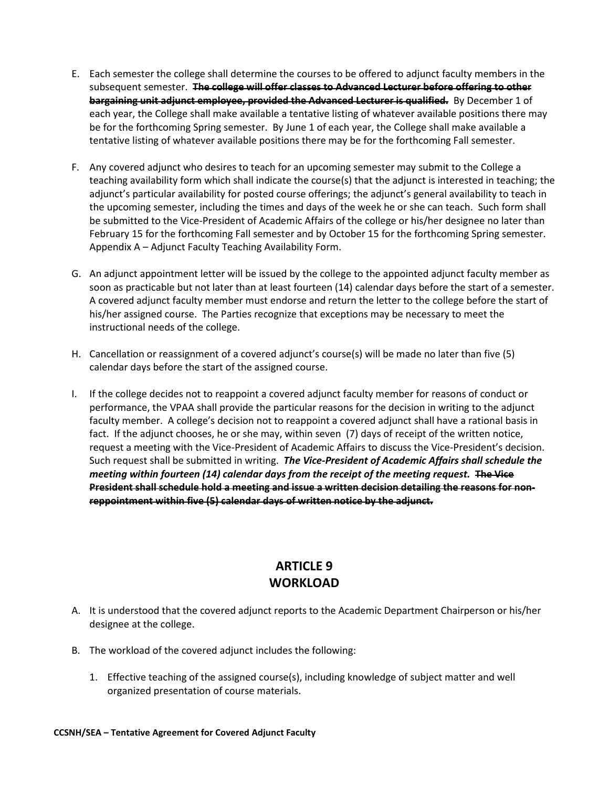- E. Each semester the college shall determine the courses to be offered to adjunct faculty members in the subsequent semester. **The college will offer classes to Advanced Lecturer before offering to other bargaining unit adjunct employee, provided the Advanced Lecturer is qualified.** By December 1 of each year, the College shall make available a tentative listing of whatever available positions there may be for the forthcoming Spring semester. By June 1 of each year, the College shall make available a tentative listing of whatever available positions there may be for the forthcoming Fall semester.
- F. Any covered adjunct who desires to teach for an upcoming semester may submit to the College a teaching availability form which shall indicate the course(s) that the adjunct is interested in teaching; the adjunct's particular availability for posted course offerings; the adjunct's general availability to teach in the upcoming semester, including the times and days of the week he or she can teach. Such form shall be submitted to the Vice-President of Academic Affairs of the college or his/her designee no later than February 15 for the forthcoming Fall semester and by October 15 for the forthcoming Spring semester. Appendix A – Adjunct Faculty Teaching Availability Form.
- G. An adjunct appointment letter will be issued by the college to the appointed adjunct faculty member as soon as practicable but not later than at least fourteen (14) calendar days before the start of a semester. A covered adjunct faculty member must endorse and return the letter to the college before the start of his/her assigned course. The Parties recognize that exceptions may be necessary to meet the instructional needs of the college.
- H. Cancellation or reassignment of a covered adjunct's course(s) will be made no later than five (5) calendar days before the start of the assigned course.
- I. If the college decides not to reappoint a covered adjunct faculty member for reasons of conduct or performance, the VPAA shall provide the particular reasons for the decision in writing to the adjunct faculty member. A college's decision not to reappoint a covered adjunct shall have a rational basis in fact. If the adjunct chooses, he or she may, within seven (7) days of receipt of the written notice, request a meeting with the Vice-President of Academic Affairs to discuss the Vice-President's decision. Such request shall be submitted in writing. *The Vice-President of Academic Affairs shall schedule the meeting within fourteen (14) calendar days from the receipt of the meeting request.* **The Vice President shall schedule hold a meeting and issue a written decision detailing the reasons for nonreppointment within five (5) calendar days of written notice by the adjunct.**

# **ARTICLE 9 WORKLOAD**

- A. It is understood that the covered adjunct reports to the Academic Department Chairperson or his/her designee at the college.
- B. The workload of the covered adjunct includes the following:
	- 1. Effective teaching of the assigned course(s), including knowledge of subject matter and well organized presentation of course materials.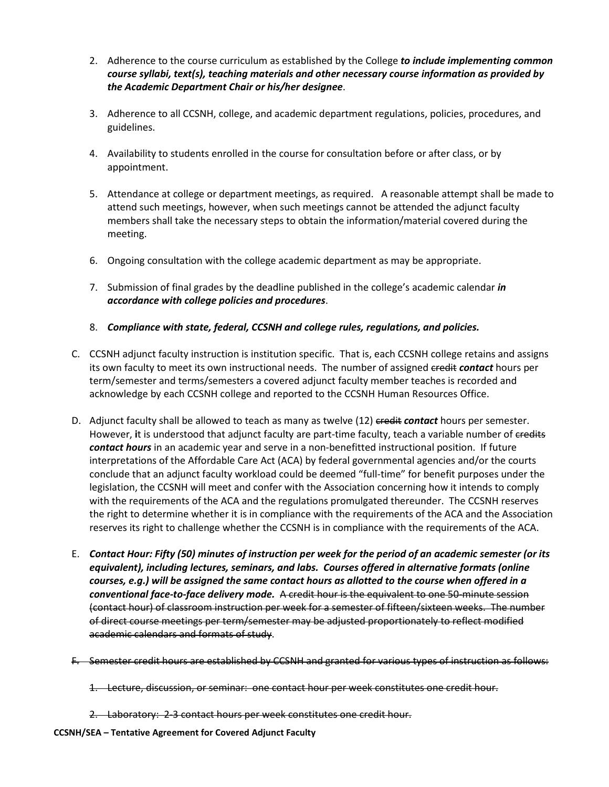- 2. Adherence to the course curriculum as established by the College *to include implementing common course syllabi, text(s), teaching materials and other necessary course information as provided by the Academic Department Chair or his/her designee*.
- 3. Adherence to all CCSNH, college, and academic department regulations, policies, procedures, and guidelines.
- 4. Availability to students enrolled in the course for consultation before or after class, or by appointment.
- 5. Attendance at college or department meetings, as required. A reasonable attempt shall be made to attend such meetings, however, when such meetings cannot be attended the adjunct faculty members shall take the necessary steps to obtain the information/material covered during the meeting.
- 6. Ongoing consultation with the college academic department as may be appropriate.
- 7. Submission of final grades by the deadline published in the college's academic calendar *in accordance with college policies and procedures*.
- 8. *Compliance with state, federal, CCSNH and college rules, regulations, and policies.*
- C. CCSNH adjunct faculty instruction is institution specific. That is, each CCSNH college retains and assigns its own faculty to meet its own instructional needs. The number of assigned credit *contact* hours per term/semester and terms/semesters a covered adjunct faculty member teaches is recorded and acknowledge by each CCSNH college and reported to the CCSNH Human Resources Office.
- D. Adjunct faculty shall be allowed to teach as many as twelve (12) eredit *contact* hours per semester. However, **i**t is understood that adjunct faculty are part-time faculty, teach a variable number of credits *contact hours* in an academic year and serve in a non-benefitted instructional position. If future interpretations of the Affordable Care Act (ACA) by federal governmental agencies and/or the courts conclude that an adjunct faculty workload could be deemed "full-time" for benefit purposes under the legislation, the CCSNH will meet and confer with the Association concerning how it intends to comply with the requirements of the ACA and the regulations promulgated thereunder. The CCSNH reserves the right to determine whether it is in compliance with the requirements of the ACA and the Association reserves its right to challenge whether the CCSNH is in compliance with the requirements of the ACA.
- E. *Contact Hour: Fifty (50) minutes of instruction per week for the period of an academic semester (or its equivalent), including lectures, seminars, and labs. Courses offered in alternative formats (online courses, e.g.) will be assigned the same contact hours as allotted to the course when offered in a conventional face-to-face delivery mode.* A credit hour is the equivalent to one 50-minute session (contact hour) of classroom instruction per week for a semester of fifteen/sixteen weeks. The number of direct course meetings per term/semester may be adjusted proportionately to reflect modified academic calendars and formats of study.
- F. Semester credit hours are established by CCSNH and granted for various types of instruction as follows:
	- 1. Lecture, discussion, or seminar: one contact hour per week constitutes one credit hour.
	- 2. Laboratory: 2-3 contact hours per week constitutes one credit hour.

**CCSNH/SEA – Tentative Agreement for Covered Adjunct Faculty**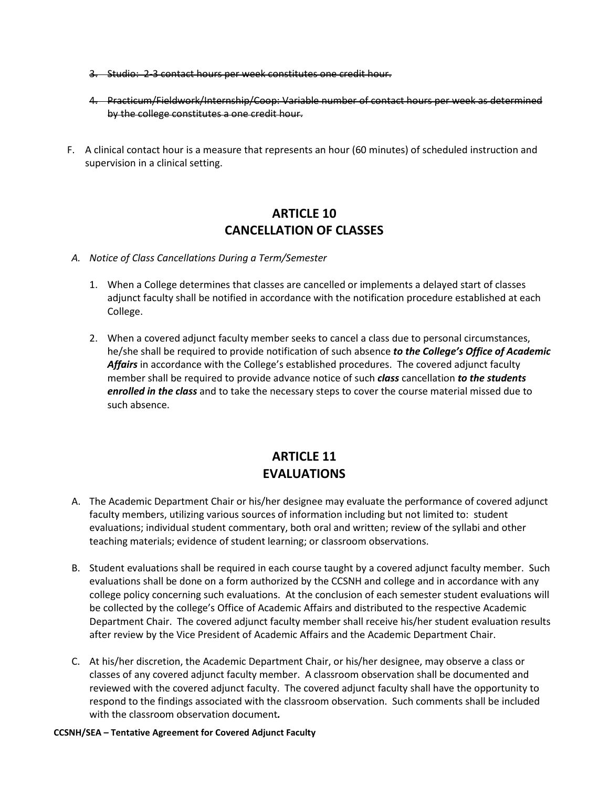- 3. Studio: 2-3 contact hours per week constitutes one credit hour.
- 4. Practicum/Fieldwork/Internship/Coop: Variable number of contact hours per week as determined by the college constitutes a one credit hour.
- F. A clinical contact hour is a measure that represents an hour (60 minutes) of scheduled instruction and supervision in a clinical setting.

#### **ARTICLE 10 CANCELLATION OF CLASSES**

- *A. Notice of Class Cancellations During a Term/Semester*
	- 1. When a College determines that classes are cancelled or implements a delayed start of classes adjunct faculty shall be notified in accordance with the notification procedure established at each College.
	- 2. When a covered adjunct faculty member seeks to cancel a class due to personal circumstances, he/she shall be required to provide notification of such absence *to the College's Office of Academic Affairs* in accordance with the College's established procedures. The covered adjunct faculty member shall be required to provide advance notice of such *class* cancellation *to the students enrolled in the class* and to take the necessary steps to cover the course material missed due to such absence.

# **ARTICLE 11 EVALUATIONS**

- A. The Academic Department Chair or his/her designee may evaluate the performance of covered adjunct faculty members, utilizing various sources of information including but not limited to: student evaluations; individual student commentary, both oral and written; review of the syllabi and other teaching materials; evidence of student learning; or classroom observations.
- B. Student evaluations shall be required in each course taught by a covered adjunct faculty member. Such evaluations shall be done on a form authorized by the CCSNH and college and in accordance with any college policy concerning such evaluations. At the conclusion of each semester student evaluations will be collected by the college's Office of Academic Affairs and distributed to the respective Academic Department Chair. The covered adjunct faculty member shall receive his/her student evaluation results after review by the Vice President of Academic Affairs and the Academic Department Chair.
- C. At his/her discretion, the Academic Department Chair, or his/her designee, may observe a class or classes of any covered adjunct faculty member. A classroom observation shall be documented and reviewed with the covered adjunct faculty. The covered adjunct faculty shall have the opportunity to respond to the findings associated with the classroom observation. Such comments shall be included with the classroom observation document*.*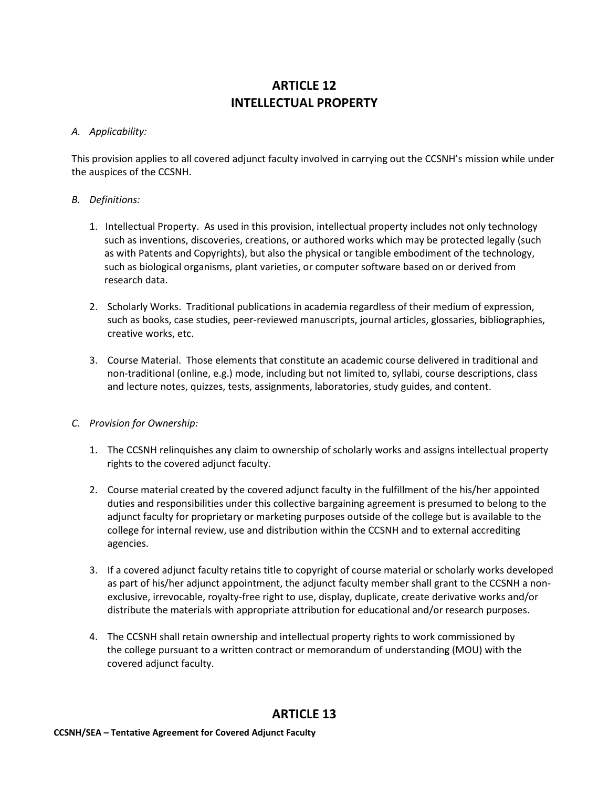# **ARTICLE 12 INTELLECTUAL PROPERTY**

#### *A. Applicability:*

This provision applies to all covered adjunct faculty involved in carrying out the CCSNH's mission while under the auspices of the CCSNH.

#### *B. Definitions:*

- 1. Intellectual Property. As used in this provision, intellectual property includes not only technology such as inventions, discoveries, creations, or authored works which may be protected legally (such as with Patents and Copyrights), but also the physical or tangible embodiment of the technology, such as biological organisms, plant varieties, or computer software based on or derived from research data.
- 2. Scholarly Works. Traditional publications in academia regardless of their medium of expression, such as books, case studies, peer-reviewed manuscripts, journal articles, glossaries, bibliographies, creative works, etc.
- 3. Course Material. Those elements that constitute an academic course delivered in traditional and non-traditional (online, e.g.) mode, including but not limited to, syllabi, course descriptions, class and lecture notes, quizzes, tests, assignments, laboratories, study guides, and content.

#### *C. Provision for Ownership:*

- 1. The CCSNH relinquishes any claim to ownership of scholarly works and assigns intellectual property rights to the covered adjunct faculty.
- 2. Course material created by the covered adjunct faculty in the fulfillment of the his/her appointed duties and responsibilities under this collective bargaining agreement is presumed to belong to the adjunct faculty for proprietary or marketing purposes outside of the college but is available to the college for internal review, use and distribution within the CCSNH and to external accrediting agencies.
- 3. If a covered adjunct faculty retains title to copyright of course material or scholarly works developed as part of his/her adjunct appointment, the adjunct faculty member shall grant to the CCSNH a nonexclusive, irrevocable, royalty-free right to use, display, duplicate, create derivative works and/or distribute the materials with appropriate attribution for educational and/or research purposes.
- 4. The CCSNH shall retain ownership and intellectual property rights to work commissioned by the college pursuant to a written contract or memorandum of understanding (MOU) with the covered adjunct faculty.

#### **ARTICLE 13**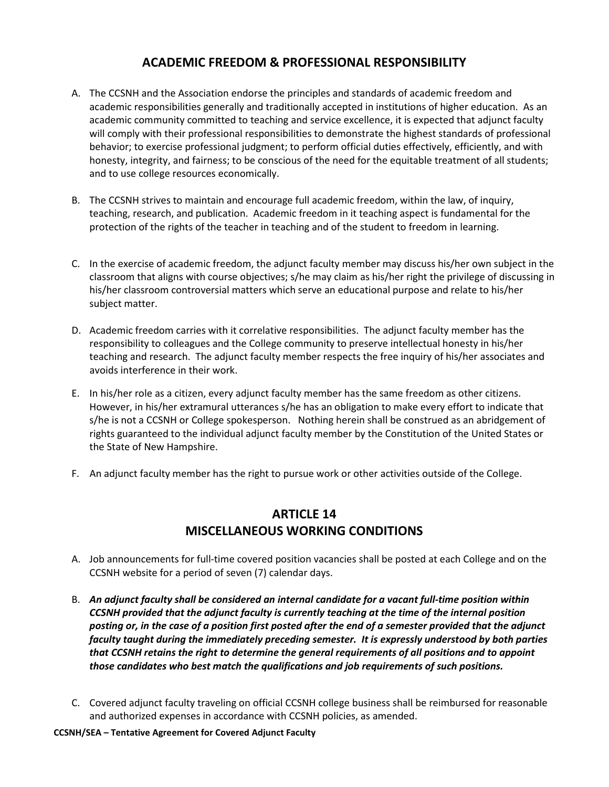#### **ACADEMIC FREEDOM & PROFESSIONAL RESPONSIBILITY**

- A. The CCSNH and the Association endorse the principles and standards of academic freedom and academic responsibilities generally and traditionally accepted in institutions of higher education. As an academic community committed to teaching and service excellence, it is expected that adjunct faculty will comply with their professional responsibilities to demonstrate the highest standards of professional behavior; to exercise professional judgment; to perform official duties effectively, efficiently, and with honesty, integrity, and fairness; to be conscious of the need for the equitable treatment of all students; and to use college resources economically.
- B. The CCSNH strives to maintain and encourage full academic freedom, within the law, of inquiry, teaching, research, and publication. Academic freedom in it teaching aspect is fundamental for the protection of the rights of the teacher in teaching and of the student to freedom in learning.
- C. In the exercise of academic freedom, the adjunct faculty member may discuss his/her own subject in the classroom that aligns with course objectives; s/he may claim as his/her right the privilege of discussing in his/her classroom controversial matters which serve an educational purpose and relate to his/her subject matter.
- D. Academic freedom carries with it correlative responsibilities. The adjunct faculty member has the responsibility to colleagues and the College community to preserve intellectual honesty in his/her teaching and research. The adjunct faculty member respects the free inquiry of his/her associates and avoids interference in their work.
- E. In his/her role as a citizen, every adjunct faculty member has the same freedom as other citizens. However, in his/her extramural utterances s/he has an obligation to make every effort to indicate that s/he is not a CCSNH or College spokesperson. Nothing herein shall be construed as an abridgement of rights guaranteed to the individual adjunct faculty member by the Constitution of the United States or the State of New Hampshire.
- F. An adjunct faculty member has the right to pursue work or other activities outside of the College.

#### **ARTICLE 14 MISCELLANEOUS WORKING CONDITIONS**

- A. Job announcements for full-time covered position vacancies shall be posted at each College and on the CCSNH website for a period of seven (7) calendar days.
- B. *An adjunct faculty shall be considered an internal candidate for a vacant full-time position within CCSNH provided that the adjunct faculty is currently teaching at the time of the internal position posting or, in the case of a position first posted after the end of a semester provided that the adjunct faculty taught during the immediately preceding semester. It is expressly understood by both parties that CCSNH retains the right to determine the general requirements of all positions and to appoint those candidates who best match the qualifications and job requirements of such positions.*
- C. Covered adjunct faculty traveling on official CCSNH college business shall be reimbursed for reasonable and authorized expenses in accordance with CCSNH policies, as amended.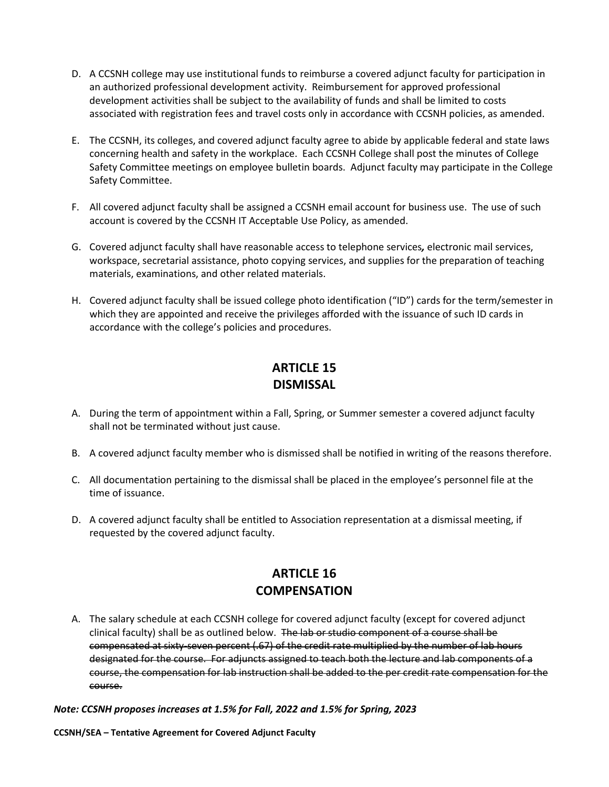- D. A CCSNH college may use institutional funds to reimburse a covered adjunct faculty for participation in an authorized professional development activity. Reimbursement for approved professional development activities shall be subject to the availability of funds and shall be limited to costs associated with registration fees and travel costs only in accordance with CCSNH policies, as amended.
- E. The CCSNH, its colleges, and covered adjunct faculty agree to abide by applicable federal and state laws concerning health and safety in the workplace. Each CCSNH College shall post the minutes of College Safety Committee meetings on employee bulletin boards. Adjunct faculty may participate in the College Safety Committee.
- F. All covered adjunct faculty shall be assigned a CCSNH email account for business use. The use of such account is covered by the CCSNH IT Acceptable Use Policy, as amended.
- G. Covered adjunct faculty shall have reasonable access to telephone services*,* electronic mail services, workspace, secretarial assistance, photo copying services, and supplies for the preparation of teaching materials, examinations, and other related materials.
- H. Covered adjunct faculty shall be issued college photo identification ("ID") cards for the term/semester in which they are appointed and receive the privileges afforded with the issuance of such ID cards in accordance with the college's policies and procedures.

# **ARTICLE 15 DISMISSAL**

- A. During the term of appointment within a Fall, Spring, or Summer semester a covered adjunct faculty shall not be terminated without just cause.
- B. A covered adjunct faculty member who is dismissed shall be notified in writing of the reasons therefore.
- C. All documentation pertaining to the dismissal shall be placed in the employee's personnel file at the time of issuance.
- D. A covered adjunct faculty shall be entitled to Association representation at a dismissal meeting, if requested by the covered adjunct faculty.

# **ARTICLE 16 COMPENSATION**

A. The salary schedule at each CCSNH college for covered adjunct faculty (except for covered adjunct clinical faculty) shall be as outlined below. The lab or studio component of a course shall be compensated at sixty-seven percent (.67) of the credit rate multiplied by the number of lab hours designated for the course. For adjuncts assigned to teach both the lecture and lab components of a course, the compensation for lab instruction shall be added to the per credit rate compensation for the course.

*Note: CCSNH proposes increases at 1.5% for Fall, 2022 and 1.5% for Spring, 2023*

**CCSNH/SEA – Tentative Agreement for Covered Adjunct Faculty**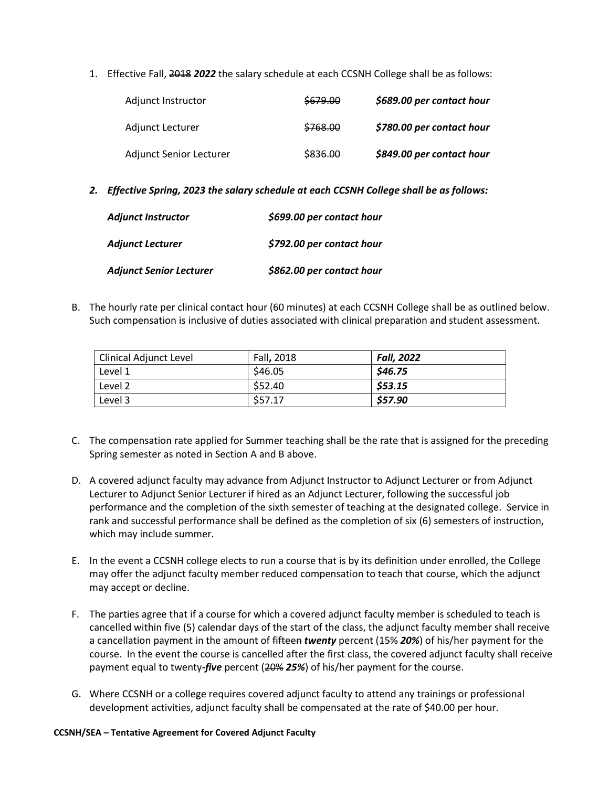1. Effective Fall, 2018 *2022* the salary schedule at each CCSNH College shall be as follows:

| Adjunct Instructor      | \$679.00 | \$689.00 per contact hour |
|-------------------------|----------|---------------------------|
| Adjunct Lecturer        | \$768.00 | \$780.00 per contact hour |
| Adjunct Senior Lecturer | \$836.00 | \$849.00 per contact hour |

*2. Effective Spring, 2023 the salary schedule at each CCSNH College shall be as follows:*

| <b>Adjunct Instructor</b>      | \$699.00 per contact hour |
|--------------------------------|---------------------------|
| <b>Adjunct Lecturer</b>        | \$792.00 per contact hour |
| <b>Adjunct Senior Lecturer</b> | \$862.00 per contact hour |

B. The hourly rate per clinical contact hour (60 minutes) at each CCSNH College shall be as outlined below. Such compensation is inclusive of duties associated with clinical preparation and student assessment.

| Clinical Adjunct Level | Fall, 2018 | <b>Fall, 2022</b> |
|------------------------|------------|-------------------|
| Level 1                | \$46.05    | \$46.75           |
| Level 2                | \$52.40    | \$53.15           |
| Level 3                | \$57.17    | \$57.90           |

- C. The compensation rate applied for Summer teaching shall be the rate that is assigned for the preceding Spring semester as noted in Section A and B above.
- D. A covered adjunct faculty may advance from Adjunct Instructor to Adjunct Lecturer or from Adjunct Lecturer to Adjunct Senior Lecturer if hired as an Adjunct Lecturer, following the successful job performance and the completion of the sixth semester of teaching at the designated college. Service in rank and successful performance shall be defined as the completion of six (6) semesters of instruction, which may include summer.
- E. In the event a CCSNH college elects to run a course that is by its definition under enrolled, the College may offer the adjunct faculty member reduced compensation to teach that course, which the adjunct may accept or decline.
- F. The parties agree that if a course for which a covered adjunct faculty member is scheduled to teach is cancelled within five (5) calendar days of the start of the class, the adjunct faculty member shall receive a cancellation payment in the amount of fifteen *twenty* percent (15% *20%*) of his/her payment for the course. In the event the course is cancelled after the first class, the covered adjunct faculty shall receive payment equal to twenty*-five* percent (20% *25%*) of his/her payment for the course.
- G. Where CCSNH or a college requires covered adjunct faculty to attend any trainings or professional development activities, adjunct faculty shall be compensated at the rate of \$40.00 per hour.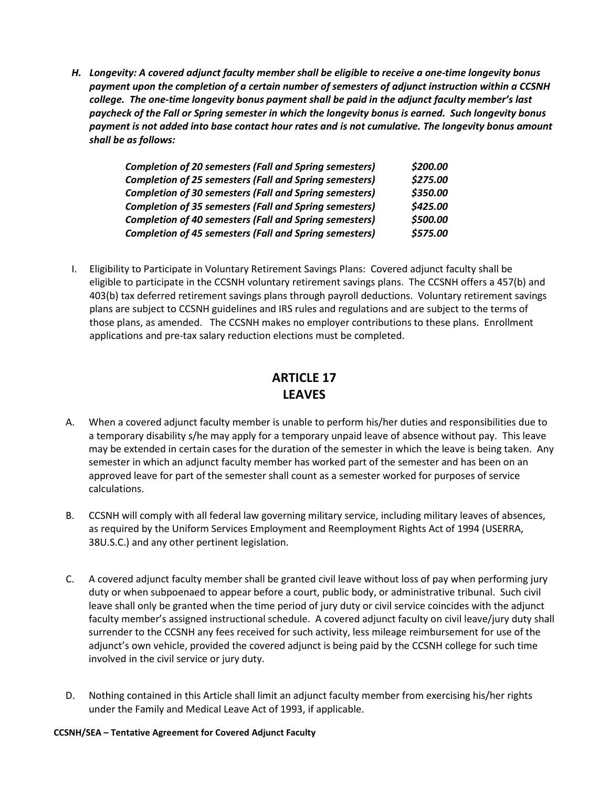*H. Longevity: A covered adjunct faculty member shall be eligible to receive a one-time longevity bonus payment upon the completion of a certain number of semesters of adjunct instruction within a CCSNH college. The one-time longevity bonus payment shall be paid in the adjunct faculty member's last paycheck of the Fall or Spring semester in which the longevity bonus is earned. Such longevity bonus payment is not added into base contact hour rates and is not cumulative. The longevity bonus amount shall be as follows:*

| <b>Completion of 20 semesters (Fall and Spring semesters)</b> | \$200.00 |
|---------------------------------------------------------------|----------|
| <b>Completion of 25 semesters (Fall and Spring semesters)</b> | \$275.00 |
| <b>Completion of 30 semesters (Fall and Spring semesters)</b> | \$350.00 |
| <b>Completion of 35 semesters (Fall and Spring semesters)</b> | \$425.00 |
| <b>Completion of 40 semesters (Fall and Spring semesters)</b> | \$500.00 |
| <b>Completion of 45 semesters (Fall and Spring semesters)</b> | \$575.00 |

I. Eligibility to Participate in Voluntary Retirement Savings Plans: Covered adjunct faculty shall be eligible to participate in the CCSNH voluntary retirement savings plans. The CCSNH offers a 457(b) and 403(b) tax deferred retirement savings plans through payroll deductions. Voluntary retirement savings plans are subject to CCSNH guidelines and IRS rules and regulations and are subject to the terms of those plans, as amended. The CCSNH makes no employer contributions to these plans. Enrollment applications and pre-tax salary reduction elections must be completed.

# **ARTICLE 17 LEAVES**

- A. When a covered adjunct faculty member is unable to perform his/her duties and responsibilities due to a temporary disability s/he may apply for a temporary unpaid leave of absence without pay.This leave may be extended in certain cases for the duration of the semester in which the leave is being taken. Any semester in which an adjunct faculty member has worked part of the semester and has been on an approved leave for part of the semester shall count as a semester worked for purposes of service calculations.
- B. CCSNH will comply with all federal law governing military service, including military leaves of absences, as required by the Uniform Services Employment and Reemployment Rights Act of 1994 (USERRA, 38U.S.C.) and any other pertinent legislation.
- C. A covered adjunct faculty member shall be granted civil leave without loss of pay when performing jury duty or when subpoenaed to appear before a court, public body, or administrative tribunal. Such civil leave shall only be granted when the time period of jury duty or civil service coincides with the adjunct faculty member's assigned instructional schedule. A covered adjunct faculty on civil leave/jury duty shall surrender to the CCSNH any fees received for such activity, less mileage reimbursement for use of the adjunct's own vehicle, provided the covered adjunct is being paid by the CCSNH college for such time involved in the civil service or jury duty.
- D. Nothing contained in this Article shall limit an adjunct faculty member from exercising his/her rights under the Family and Medical Leave Act of 1993, if applicable.

#### **CCSNH/SEA – Tentative Agreement for Covered Adjunct Faculty**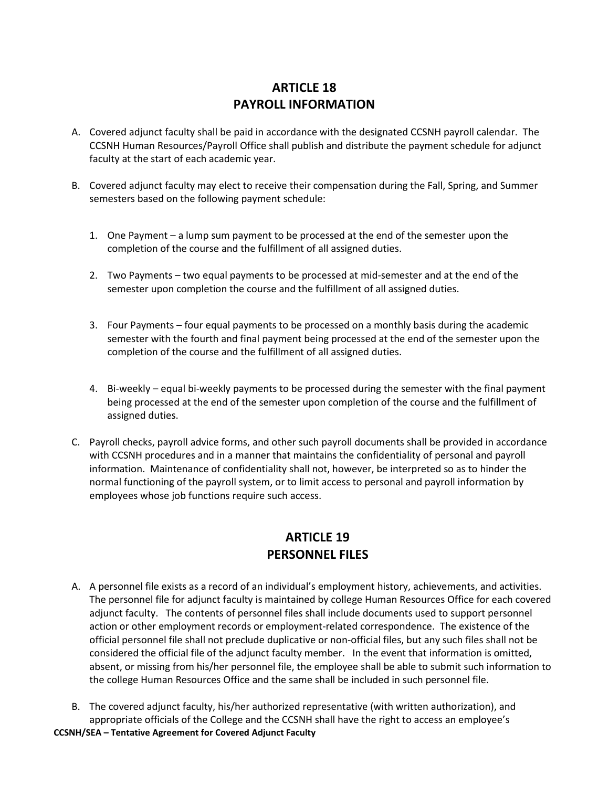#### **ARTICLE 18 PAYROLL INFORMATION**

- A. Covered adjunct faculty shall be paid in accordance with the designated CCSNH payroll calendar. The CCSNH Human Resources/Payroll Office shall publish and distribute the payment schedule for adjunct faculty at the start of each academic year.
- B. Covered adjunct faculty may elect to receive their compensation during the Fall, Spring, and Summer semesters based on the following payment schedule:
	- 1. One Payment a lump sum payment to be processed at the end of the semester upon the completion of the course and the fulfillment of all assigned duties.
	- 2. Two Payments two equal payments to be processed at mid-semester and at the end of the semester upon completion the course and the fulfillment of all assigned duties.
	- 3. Four Payments four equal payments to be processed on a monthly basis during the academic semester with the fourth and final payment being processed at the end of the semester upon the completion of the course and the fulfillment of all assigned duties.
	- 4. Bi-weekly equal bi-weekly payments to be processed during the semester with the final payment being processed at the end of the semester upon completion of the course and the fulfillment of assigned duties.
- C. Payroll checks, payroll advice forms, and other such payroll documents shall be provided in accordance with CCSNH procedures and in a manner that maintains the confidentiality of personal and payroll information. Maintenance of confidentiality shall not, however, be interpreted so as to hinder the normal functioning of the payroll system, or to limit access to personal and payroll information by employees whose job functions require such access.

# **ARTICLE 19 PERSONNEL FILES**

- A. A personnel file exists as a record of an individual's employment history, achievements, and activities. The personnel file for adjunct faculty is maintained by college Human Resources Office for each covered adjunct faculty. The contents of personnel files shall include documents used to support personnel action or other employment records or employment-related correspondence. The existence of the official personnel file shall not preclude duplicative or non-official files, but any such files shall not be considered the official file of the adjunct faculty member. In the event that information is omitted, absent, or missing from his/her personnel file, the employee shall be able to submit such information to the college Human Resources Office and the same shall be included in such personnel file.
- B. The covered adjunct faculty, his/her authorized representative (with written authorization), and appropriate officials of the College and the CCSNH shall have the right to access an employee's

**CCSNH/SEA – Tentative Agreement for Covered Adjunct Faculty**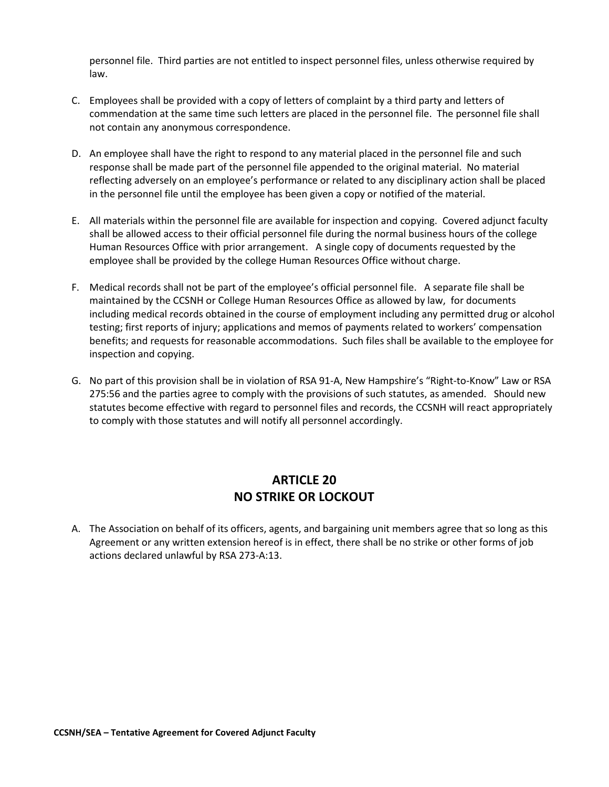personnel file. Third parties are not entitled to inspect personnel files, unless otherwise required by law.

- C. Employees shall be provided with a copy of letters of complaint by a third party and letters of commendation at the same time such letters are placed in the personnel file. The personnel file shall not contain any anonymous correspondence.
- D. An employee shall have the right to respond to any material placed in the personnel file and such response shall be made part of the personnel file appended to the original material. No material reflecting adversely on an employee's performance or related to any disciplinary action shall be placed in the personnel file until the employee has been given a copy or notified of the material.
- E. All materials within the personnel file are available for inspection and copying. Covered adjunct faculty shall be allowed access to their official personnel file during the normal business hours of the college Human Resources Office with prior arrangement. A single copy of documents requested by the employee shall be provided by the college Human Resources Office without charge.
- F. Medical records shall not be part of the employee's official personnel file. A separate file shall be maintained by the CCSNH or College Human Resources Office as allowed by law, for documents including medical records obtained in the course of employment including any permitted drug or alcohol testing; first reports of injury; applications and memos of payments related to workers' compensation benefits; and requests for reasonable accommodations. Such files shall be available to the employee for inspection and copying.
- G. No part of this provision shall be in violation of RSA 91-A, New Hampshire's "Right-to-Know" Law or RSA 275:56 and the parties agree to comply with the provisions of such statutes, as amended. Should new statutes become effective with regard to personnel files and records, the CCSNH will react appropriately to comply with those statutes and will notify all personnel accordingly.

# **ARTICLE 20 NO STRIKE OR LOCKOUT**

A. The Association on behalf of its officers, agents, and bargaining unit members agree that so long as this Agreement or any written extension hereof is in effect, there shall be no strike or other forms of job actions declared unlawful by RSA 273-A:13.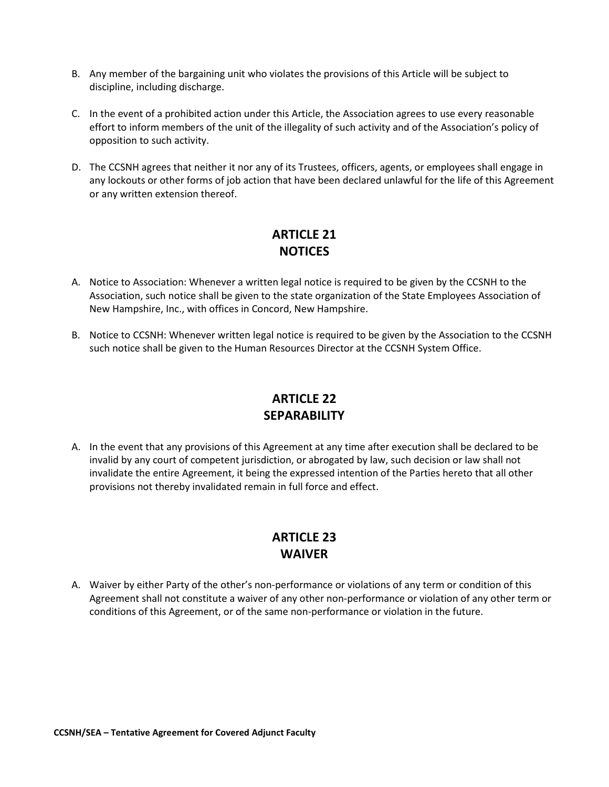- B. Any member of the bargaining unit who violates the provisions of this Article will be subject to discipline, including discharge.
- C. In the event of a prohibited action under this Article, the Association agrees to use every reasonable effort to inform members of the unit of the illegality of such activity and of the Association's policy of opposition to such activity.
- D. The CCSNH agrees that neither it nor any of its Trustees, officers, agents, or employees shall engage in any lockouts or other forms of job action that have been declared unlawful for the life of this Agreement or any written extension thereof.

# **ARTICLE 21 NOTICES**

- A. Notice to Association: Whenever a written legal notice is required to be given by the CCSNH to the Association, such notice shall be given to the state organization of the State Employees Association of New Hampshire, Inc., with offices in Concord, New Hampshire.
- B. Notice to CCSNH: Whenever written legal notice is required to be given by the Association to the CCSNH such notice shall be given to the Human Resources Director at the CCSNH System Office.

# **ARTICLE 22 SEPARABILITY**

A. In the event that any provisions of this Agreement at any time after execution shall be declared to be invalid by any court of competent jurisdiction, or abrogated by law, such decision or law shall not invalidate the entire Agreement, it being the expressed intention of the Parties hereto that all other provisions not thereby invalidated remain in full force and effect.

# **ARTICLE 23 WAIVER**

A. Waiver by either Party of the other's non-performance or violations of any term or condition of this Agreement shall not constitute a waiver of any other non-performance or violation of any other term or conditions of this Agreement, or of the same non-performance or violation in the future.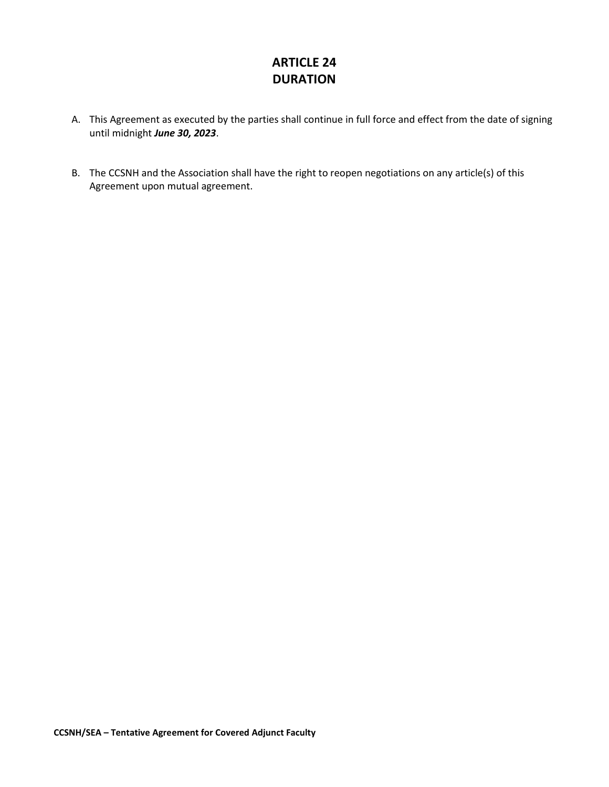# **ARTICLE 24 DURATION**

- A. This Agreement as executed by the parties shall continue in full force and effect from the date of signing until midnight *June 30, 2023*.
- B. The CCSNH and the Association shall have the right to reopen negotiations on any article(s) of this Agreement upon mutual agreement.